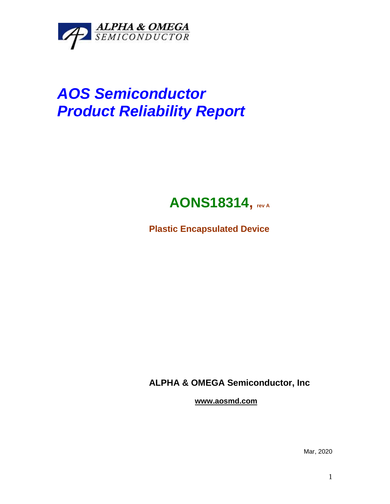

# *AOS Semiconductor Product Reliability Report*

# **AONS18314, rev <sup>A</sup>**

**Plastic Encapsulated Device**

**ALPHA & OMEGA Semiconductor, Inc**

**www.aosmd.com**

Mar, 2020